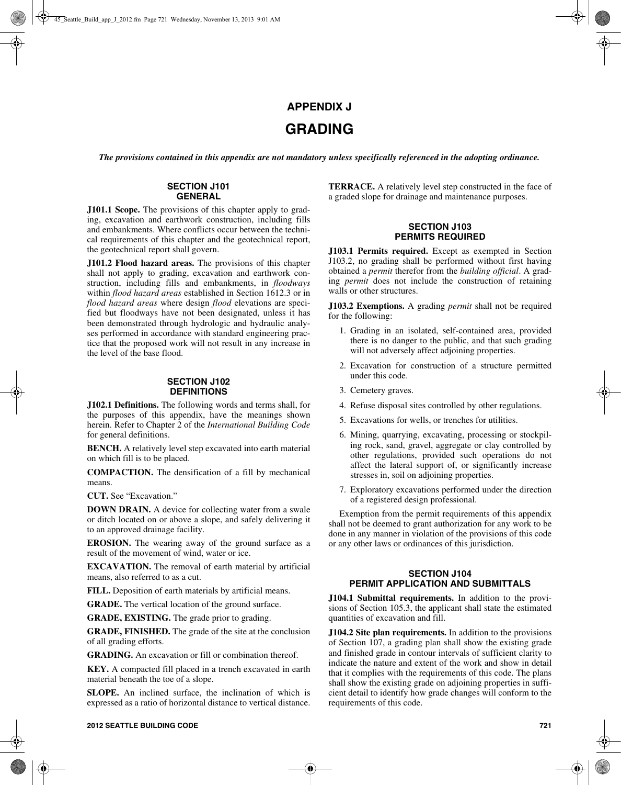# **APPENDIX J GRADING**

*The provisions contained in this appendix are not mandatory unless specifically referenced in the adopting ordinance.*

#### **SECTION J101 GENERAL**

**J101.1 Scope.** The provisions of this chapter apply to grading, excavation and earthwork construction, including fills and embankments. Where conflicts occur between the technical requirements of this chapter and the geotechnical report, the geotechnical report shall govern.

**J101.2 Flood hazard areas.** The provisions of this chapter shall not apply to grading, excavation and earthwork construction, including fills and embankments, in *floodways* within *flood hazard areas* established in Section 1612.3 or in *flood hazard areas* where design *flood* elevations are specified but floodways have not been designated, unless it has been demonstrated through hydrologic and hydraulic analyses performed in accordance with standard engineering practice that the proposed work will not result in any increase in the level of the base flood.

#### **SECTION J102 DEFINITIONS**

**J102.1 Definitions.** The following words and terms shall, for the purposes of this appendix, have the meanings shown herein. Refer to Chapter 2 of the *International Building Code* for general definitions.

**BENCH.** A relatively level step excavated into earth material on which fill is to be placed.

**COMPACTION.** The densification of a fill by mechanical means.

**CUT.** See "Excavation."

**DOWN DRAIN.** A device for collecting water from a swale or ditch located on or above a slope, and safely delivering it to an approved drainage facility.

**EROSION.** The wearing away of the ground surface as a result of the movement of wind, water or ice.

**EXCAVATION.** The removal of earth material by artificial means, also referred to as a cut.

**FILL.** Deposition of earth materials by artificial means.

**GRADE.** The vertical location of the ground surface.

**GRADE, EXISTING.** The grade prior to grading.

**GRADE, FINISHED.** The grade of the site at the conclusion of all grading efforts.

**GRADING.** An excavation or fill or combination thereof.

**KEY.** A compacted fill placed in a trench excavated in earth material beneath the toe of a slope.

**SLOPE.** An inclined surface, the inclination of which is expressed as a ratio of horizontal distance to vertical distance. **TERRACE.** A relatively level step constructed in the face of a graded slope for drainage and maintenance purposes.

## **SECTION J103 PERMITS REQUIRED**

**J103.1 Permits required.** Except as exempted in Section J103.2, no grading shall be performed without first having obtained a *permit* therefor from the *building official*. A grading *permit* does not include the construction of retaining walls or other structures.

**J103.2 Exemptions.** A grading *permit* shall not be required for the following:

- 1. Grading in an isolated, self-contained area, provided there is no danger to the public, and that such grading will not adversely affect adjoining properties.
- 2. Excavation for construction of a structure permitted under this code.
- 3. Cemetery graves.
- 4. Refuse disposal sites controlled by other regulations.
- 5. Excavations for wells, or trenches for utilities.
- 6. Mining, quarrying, excavating, processing or stockpiling rock, sand, gravel, aggregate or clay controlled by other regulations, provided such operations do not affect the lateral support of, or significantly increase stresses in, soil on adjoining properties.
- 7. Exploratory excavations performed under the direction of a registered design professional.

Exemption from the permit requirements of this appendix shall not be deemed to grant authorization for any work to be done in any manner in violation of the provisions of this code or any other laws or ordinances of this jurisdiction.

## **SECTION J104 PERMIT APPLICATION AND SUBMITTALS**

**J104.1 Submittal requirements.** In addition to the provisions of Section 105.3, the applicant shall state the estimated quantities of excavation and fill.

**J104.2 Site plan requirements.** In addition to the provisions of Section 107, a grading plan shall show the existing grade and finished grade in contour intervals of sufficient clarity to indicate the nature and extent of the work and show in detail that it complies with the requirements of this code. The plans shall show the existing grade on adjoining properties in sufficient detail to identify how grade changes will conform to the requirements of this code.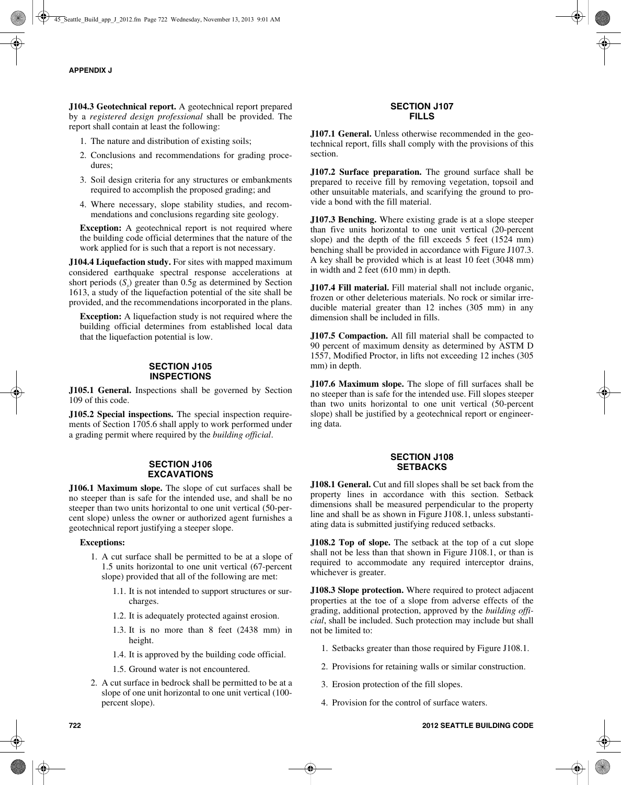**J104.3 Geotechnical report.** A geotechnical report prepared by a *registered design professional* shall be provided. The report shall contain at least the following:

- 1. The nature and distribution of existing soils;
- 2. Conclusions and recommendations for grading procedures;
- 3. Soil design criteria for any structures or embankments required to accomplish the proposed grading; and
- 4. Where necessary, slope stability studies, and recommendations and conclusions regarding site geology.

**Exception:** A geotechnical report is not required where the building code official determines that the nature of the work applied for is such that a report is not necessary.

**J104.4 Liquefaction study.** For sites with mapped maximum considered earthquake spectral response accelerations at short periods  $(S_s)$  greater than 0.5g as determined by Section 1613, a study of the liquefaction potential of the site shall be provided, and the recommendations incorporated in the plans.

**Exception:** A liquefaction study is not required where the building official determines from established local data that the liquefaction potential is low.

#### **SECTION J105 INSPECTIONS**

**J105.1 General.** Inspections shall be governed by Section 109 of this code.

**J105.2 Special inspections.** The special inspection requirements of Section 1705.6 shall apply to work performed under a grading permit where required by the *building official*.

### **SECTION J106 EXCAVATIONS**

**J106.1 Maximum slope.** The slope of cut surfaces shall be no steeper than is safe for the intended use, and shall be no steeper than two units horizontal to one unit vertical (50-percent slope) unless the owner or authorized agent furnishes a geotechnical report justifying a steeper slope.

#### **Exceptions:**

- 1. A cut surface shall be permitted to be at a slope of 1.5 units horizontal to one unit vertical (67-percent slope) provided that all of the following are met:
	- 1.1. It is not intended to support structures or surcharges.
	- 1.2. It is adequately protected against erosion.
	- 1.3. It is no more than 8 feet (2438 mm) in height.
	- 1.4. It is approved by the building code official.
	- 1.5. Ground water is not encountered.
- 2. A cut surface in bedrock shall be permitted to be at a slope of one unit horizontal to one unit vertical (100 percent slope).

## **SECTION J107 FILLS**

**J107.1 General.** Unless otherwise recommended in the geotechnical report, fills shall comply with the provisions of this section.

**J107.2 Surface preparation.** The ground surface shall be prepared to receive fill by removing vegetation, topsoil and other unsuitable materials, and scarifying the ground to provide a bond with the fill material.

**J107.3 Benching.** Where existing grade is at a slope steeper than five units horizontal to one unit vertical (20-percent slope) and the depth of the fill exceeds 5 feet (1524 mm) benching shall be provided in accordance with Figure J107.3. A key shall be provided which is at least 10 feet (3048 mm) in width and 2 feet (610 mm) in depth.

**J107.4 Fill material.** Fill material shall not include organic, frozen or other deleterious materials. No rock or similar irreducible material greater than 12 inches (305 mm) in any dimension shall be included in fills.

**J107.5 Compaction.** All fill material shall be compacted to 90 percent of maximum density as determined by ASTM D 1557, Modified Proctor, in lifts not exceeding 12 inches (305 mm) in depth.

**J107.6 Maximum slope.** The slope of fill surfaces shall be no steeper than is safe for the intended use. Fill slopes steeper than two units horizontal to one unit vertical (50-percent slope) shall be justified by a geotechnical report or engineering data.

## **SECTION J108 SETBACKS**

**J108.1 General.** Cut and fill slopes shall be set back from the property lines in accordance with this section. Setback dimensions shall be measured perpendicular to the property line and shall be as shown in Figure J108.1, unless substantiating data is submitted justifying reduced setbacks.

**J108.2 Top of slope.** The setback at the top of a cut slope shall not be less than that shown in Figure J108.1, or than is required to accommodate any required interceptor drains, whichever is greater.

**J108.3 Slope protection.** Where required to protect adjacent properties at the toe of a slope from adverse effects of the grading, additional protection, approved by the *building official*, shall be included. Such protection may include but shall not be limited to:

- 1. Setbacks greater than those required by Figure J108.1.
- 2. Provisions for retaining walls or similar construction.
- 3. Erosion protection of the fill slopes.
- 4. Provision for the control of surface waters.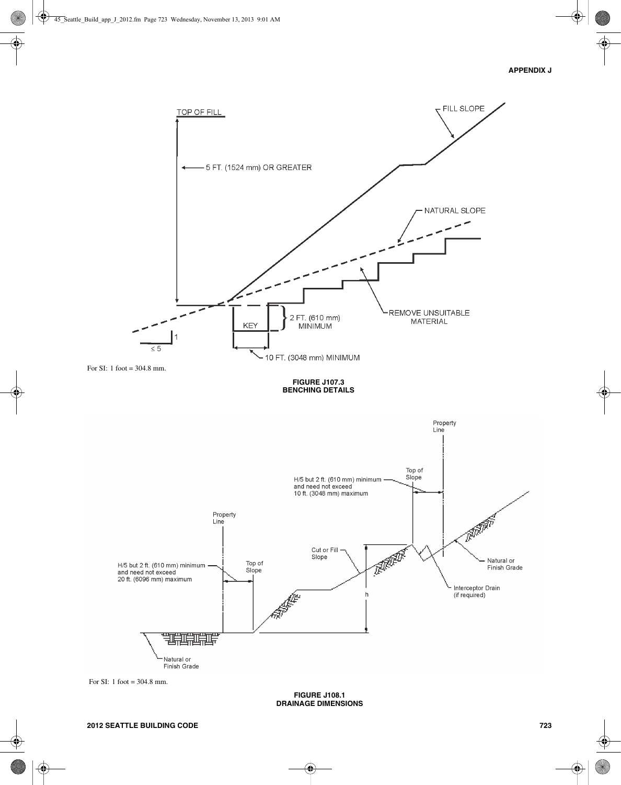

For SI: 1 foot = 304.8 mm.

**FIGURE J108.1 DRAINAGE DIMENSIONS**